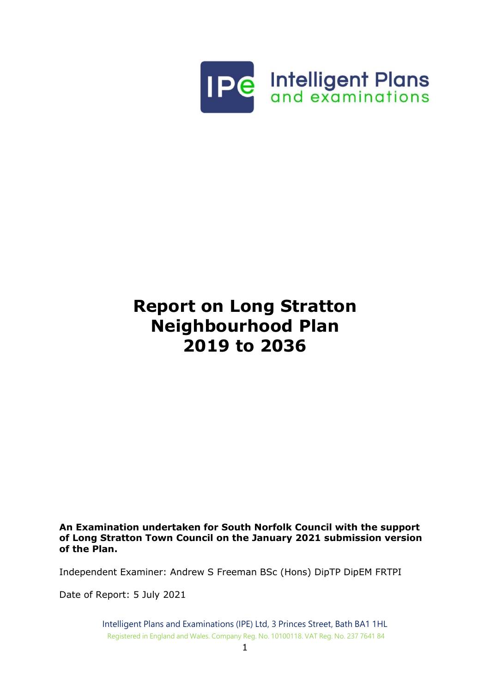

# **Report on Long Stratton Neighbourhood Plan 2019 to 2036**

#### **An Examination undertaken for South Norfolk Council with the support of Long Stratton Town Council on the January 2021 submission version of the Plan.**

Independent Examiner: Andrew S Freeman BSc (Hons) DipTP DipEM FRTPI

Date of Report: 5 July 2021

Intelligent Plans and Examinations (IPE) Ltd, 3 Princes Street, Bath BA1 1HL Registered in England and Wales. Company Reg. No. 10100118. VAT Reg. No. 237 7641 84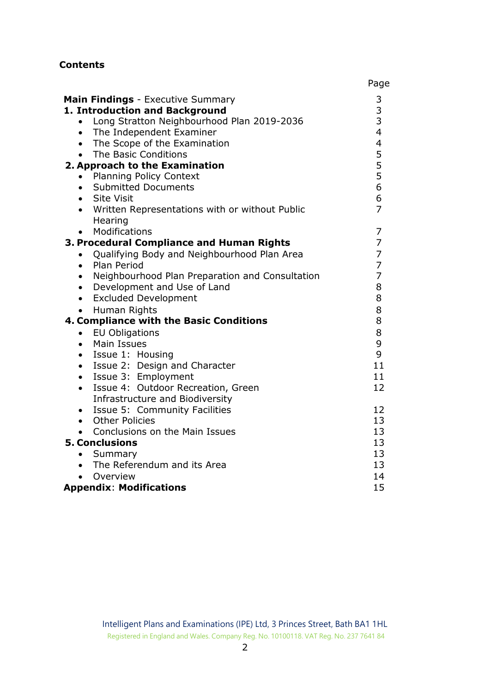# **Contents**

|                                                                            | Page                                            |  |  |  |
|----------------------------------------------------------------------------|-------------------------------------------------|--|--|--|
| <b>Main Findings</b> - Executive Summary<br>1. Introduction and Background | 3<br>$\begin{array}{c} 3 \\ 3 \\ 4 \end{array}$ |  |  |  |
| Long Stratton Neighbourhood Plan 2019-2036<br>$\bullet$                    |                                                 |  |  |  |
| • The Independent Examiner                                                 |                                                 |  |  |  |
| The Scope of the Examination<br>$\bullet$                                  | 455566                                          |  |  |  |
| The Basic Conditions<br>$\bullet$                                          |                                                 |  |  |  |
| 2. Approach to the Examination                                             |                                                 |  |  |  |
| <b>Planning Policy Context</b><br>$\bullet$                                |                                                 |  |  |  |
| <b>Submitted Documents</b><br>$\bullet$                                    |                                                 |  |  |  |
| <b>Site Visit</b><br>$\bullet$                                             |                                                 |  |  |  |
| Written Representations with or without Public<br>$\bullet$                | $\overline{7}$                                  |  |  |  |
| Hearing                                                                    |                                                 |  |  |  |
| Modifications<br>$\bullet$                                                 | 7                                               |  |  |  |
| 3. Procedural Compliance and Human Rights                                  | $\overline{7}$                                  |  |  |  |
| Qualifying Body and Neighbourhood Plan Area<br>$\bullet$                   | 7                                               |  |  |  |
| Plan Period<br>$\bullet$                                                   | $\overline{7}$                                  |  |  |  |
| Neighbourhood Plan Preparation and Consultation<br>$\bullet$               | $\overline{7}$                                  |  |  |  |
| Development and Use of Land<br>$\bullet$                                   | 8                                               |  |  |  |
| • Excluded Development                                                     | 8                                               |  |  |  |
| Human Rights<br>$\bullet$                                                  | 8                                               |  |  |  |
| 4. Compliance with the Basic Conditions                                    | 8                                               |  |  |  |
| <b>EU Obligations</b><br>$\bullet$                                         | 8                                               |  |  |  |
| Main Issues<br>$\bullet$                                                   | 9                                               |  |  |  |
| • Issue 1: Housing                                                         | 9                                               |  |  |  |
| • Issue 2: Design and Character                                            | 11                                              |  |  |  |
| • Issue 3: Employment                                                      | 11                                              |  |  |  |
| Issue 4: Outdoor Recreation, Green<br>$\bullet$                            | 12                                              |  |  |  |
| Infrastructure and Biodiversity                                            |                                                 |  |  |  |
| Issue 5: Community Facilities<br>$\bullet$                                 | 12                                              |  |  |  |
| • Other Policies                                                           | 13                                              |  |  |  |
| • Conclusions on the Main Issues                                           | 13                                              |  |  |  |
| <b>5. Conclusions</b>                                                      | 13                                              |  |  |  |
| Summary<br>$\bullet$                                                       | 13                                              |  |  |  |
| • The Referendum and its Area                                              | 13                                              |  |  |  |
| Overview                                                                   | 14                                              |  |  |  |
| <b>Appendix: Modifications</b>                                             | 15                                              |  |  |  |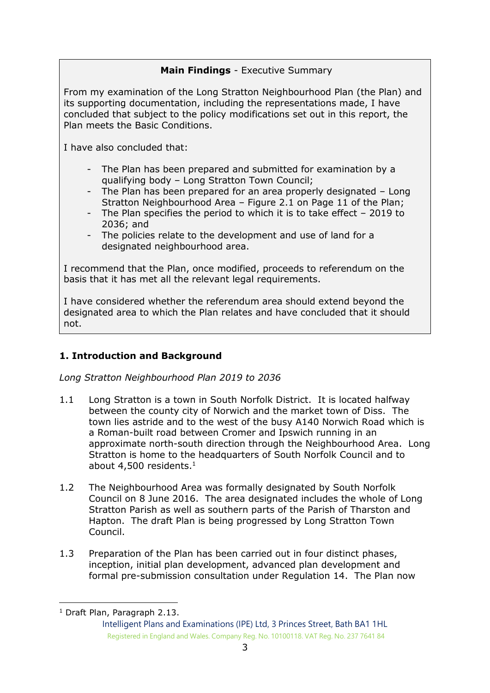# **Main Findings** - Executive Summary

From my examination of the Long Stratton Neighbourhood Plan (the Plan) and its supporting documentation, including the representations made, I have concluded that subject to the policy modifications set out in this report, the Plan meets the Basic Conditions.

I have also concluded that:

- The Plan has been prepared and submitted for examination by a qualifying body – Long Stratton Town Council;
- The Plan has been prepared for an area properly designated Long Stratton Neighbourhood Area – Figure 2.1 on Page 11 of the Plan;
- The Plan specifies the period to which it is to take effect 2019 to 2036; and
- The policies relate to the development and use of land for a designated neighbourhood area.

I recommend that the Plan, once modified, proceeds to referendum on the basis that it has met all the relevant legal requirements.

I have considered whether the referendum area should extend beyond the designated area to which the Plan relates and have concluded that it should not.

# **1. Introduction and Background**

*Long Stratton Neighbourhood Plan 2019 to 2036*

- 1.1 Long Stratton is a town in South Norfolk District. It is located halfway between the county city of Norwich and the market town of Diss. The town lies astride and to the west of the busy A140 Norwich Road which is a Roman-built road between Cromer and Ipswich running in an approximate north-south direction through the Neighbourhood Area. Long Stratton is home to the headquarters of South Norfolk Council and to about 4,500 residents.<sup>1</sup>
- 1.2 The Neighbourhood Area was formally designated by South Norfolk Council on 8 June 2016. The area designated includes the whole of Long Stratton Parish as well as southern parts of the Parish of Tharston and Hapton. The draft Plan is being progressed by Long Stratton Town Council.
- 1.3 Preparation of the Plan has been carried out in four distinct phases, inception, initial plan development, advanced plan development and formal pre-submission consultation under Regulation 14. The Plan now

<sup>-</sup><sup>1</sup> Draft Plan, Paragraph 2.13.

Intelligent Plans and Examinations (IPE) Ltd, 3 Princes Street, Bath BA1 1HL Registered in England and Wales. Company Reg. No. 10100118. VAT Reg. No. 237 7641 84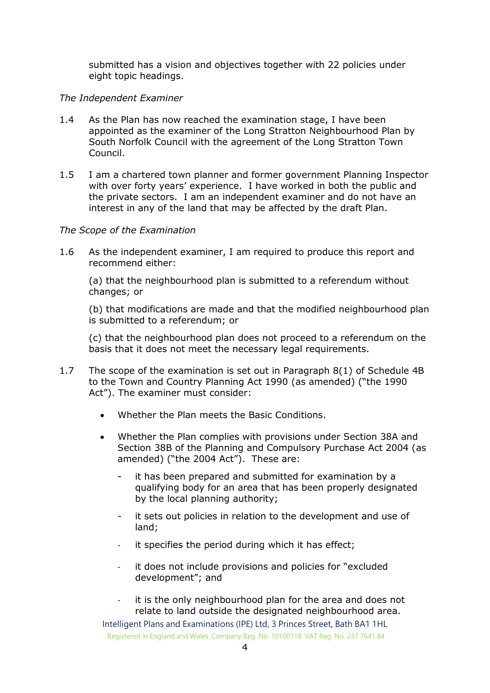submitted has a vision and objectives together with 22 policies under eight topic headings.

#### *The Independent Examiner*

- 1.4 As the Plan has now reached the examination stage, I have been appointed as the examiner of the Long Stratton Neighbourhood Plan by South Norfolk Council with the agreement of the Long Stratton Town Council.
- 1.5 I am a chartered town planner and former government Planning Inspector with over forty years' experience. I have worked in both the public and the private sectors. I am an independent examiner and do not have an interest in any of the land that may be affected by the draft Plan.

#### *The Scope of the Examination*

1.6 As the independent examiner, I am required to produce this report and recommend either:

(a) that the neighbourhood plan is submitted to a referendum without changes; or

(b) that modifications are made and that the modified neighbourhood plan is submitted to a referendum; or

(c) that the neighbourhood plan does not proceed to a referendum on the basis that it does not meet the necessary legal requirements.

- 1.7 The scope of the examination is set out in Paragraph 8(1) of Schedule 4B to the Town and Country Planning Act 1990 (as amended) ("the 1990 Act"). The examiner must consider:
	- Whether the Plan meets the Basic Conditions.
	- Whether the Plan complies with provisions under Section 38A and Section 38B of the Planning and Compulsory Purchase Act 2004 (as amended) ("the 2004 Act"). These are:
		- it has been prepared and submitted for examination by a qualifying body for an area that has been properly designated by the local planning authority;
		- it sets out policies in relation to the development and use of land;
		- it specifies the period during which it has effect;
		- it does not include provisions and policies for "excluded development"; and
		- it is the only neighbourhood plan for the area and does not relate to land outside the designated neighbourhood area.

Intelligent Plans and Examinations (IPE) Ltd, 3 Princes Street, Bath BA1 1HL Registered in England and Wales. Company Reg. No. 10100118. VAT Reg. No. 237 7641 84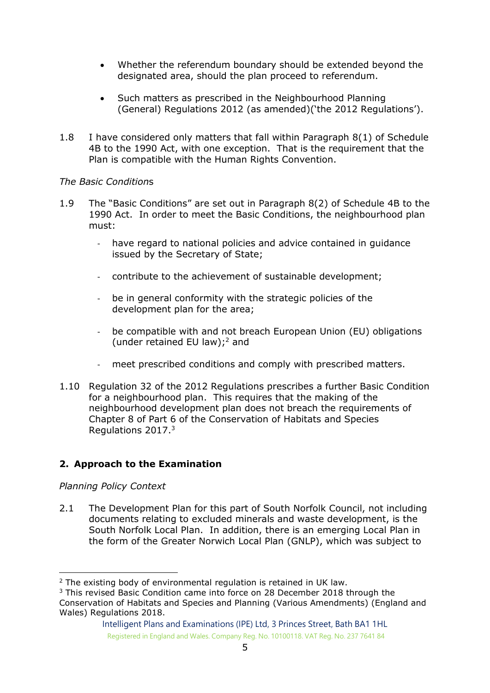- Whether the referendum boundary should be extended beyond the designated area, should the plan proceed to referendum.
- Such matters as prescribed in the Neighbourhood Planning (General) Regulations 2012 (as amended)('the 2012 Regulations').
- 1.8 I have considered only matters that fall within Paragraph 8(1) of Schedule 4B to the 1990 Act, with one exception. That is the requirement that the Plan is compatible with the Human Rights Convention.

# *The Basic Condition*s

- 1.9 The "Basic Conditions" are set out in Paragraph 8(2) of Schedule 4B to the 1990 Act. In order to meet the Basic Conditions, the neighbourhood plan must:
	- have regard to national policies and advice contained in guidance issued by the Secretary of State;
	- contribute to the achievement of sustainable development;
	- be in general conformity with the strategic policies of the development plan for the area;
	- be compatible with and not breach European Union (EU) obligations (under retained EU law);<sup>2</sup> and
	- meet prescribed conditions and comply with prescribed matters.
- 1.10 Regulation 32 of the 2012 Regulations prescribes a further Basic Condition for a neighbourhood plan. This requires that the making of the neighbourhood development plan does not breach the requirements of Chapter 8 of Part 6 of the Conservation of Habitats and Species Regulations 2017. 3

# **2. Approach to the Examination**

# *Planning Policy Context*

-

2.1 The Development Plan for this part of South Norfolk Council, not including documents relating to excluded minerals and waste development, is the South Norfolk Local Plan. In addition, there is an emerging Local Plan in the form of the Greater Norwich Local Plan (GNLP), which was subject to

<sup>2</sup> The existing body of environmental regulation is retained in UK law.

<sup>3</sup> This revised Basic Condition came into force on 28 December 2018 through the Conservation of Habitats and Species and Planning (Various Amendments) (England and Wales) Regulations 2018.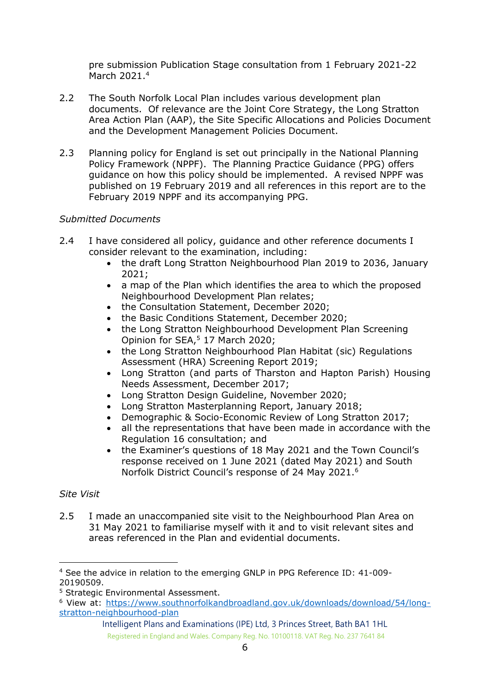pre submission Publication Stage consultation from 1 February 2021-22 March 2021.<sup>4</sup>

- 2.2 The South Norfolk Local Plan includes various development plan documents. Of relevance are the Joint Core Strategy, the Long Stratton Area Action Plan (AAP), the Site Specific Allocations and Policies Document and the Development Management Policies Document.
- 2.3 Planning policy for England is set out principally in the National Planning Policy Framework (NPPF). The Planning Practice Guidance (PPG) offers guidance on how this policy should be implemented. A revised NPPF was published on 19 February 2019 and all references in this report are to the February 2019 NPPF and its accompanying PPG.

# *Submitted Documents*

- 2.4 I have considered all policy, guidance and other reference documents I consider relevant to the examination, including:
	- the draft Long Stratton Neighbourhood Plan 2019 to 2036, January 2021;
	- a map of the Plan which identifies the area to which the proposed Neighbourhood Development Plan relates;
	- the Consultation Statement, December 2020;
	- the Basic Conditions Statement, December 2020;
	- the Long Stratton Neighbourhood Development Plan Screening Opinion for SEA, <sup>5</sup> 17 March 2020;
	- the Long Stratton Neighbourhood Plan Habitat (sic) Regulations Assessment (HRA) Screening Report 2019;
	- Long Stratton (and parts of Tharston and Hapton Parish) Housing Needs Assessment, December 2017;
	- Long Stratton Design Guideline, November 2020;
	- Long Stratton Masterplanning Report, January 2018;
	- Demographic & Socio-Economic Review of Long Stratton 2017;
	- all the representations that have been made in accordance with the Regulation 16 consultation; and
	- the Examiner's questions of 18 May 2021 and the Town Council's response received on 1 June 2021 (dated May 2021) and South Norfolk District Council's response of 24 May 2021.<sup>6</sup>

#### *Site Visit*

-

2.5 I made an unaccompanied site visit to the Neighbourhood Plan Area on 31 May 2021 to familiarise myself with it and to visit relevant sites and areas referenced in the Plan and evidential documents.

<sup>4</sup> See the advice in relation to the emerging GNLP in PPG Reference ID: 41-009- 20190509.

<sup>5</sup> Strategic Environmental Assessment.

<sup>6</sup> View at: [https://www.southnorfolkandbroadland.gov.uk/downloads/download/54/long](https://www.southnorfolkandbroadland.gov.uk/downloads/download/54/long-stratton-neighbourhood-plan)[stratton-neighbourhood-plan](https://www.southnorfolkandbroadland.gov.uk/downloads/download/54/long-stratton-neighbourhood-plan)

Intelligent Plans and Examinations (IPE) Ltd, 3 Princes Street, Bath BA1 1HL Registered in England and Wales. Company Reg. No. 10100118. VAT Reg. No. 237 7641 84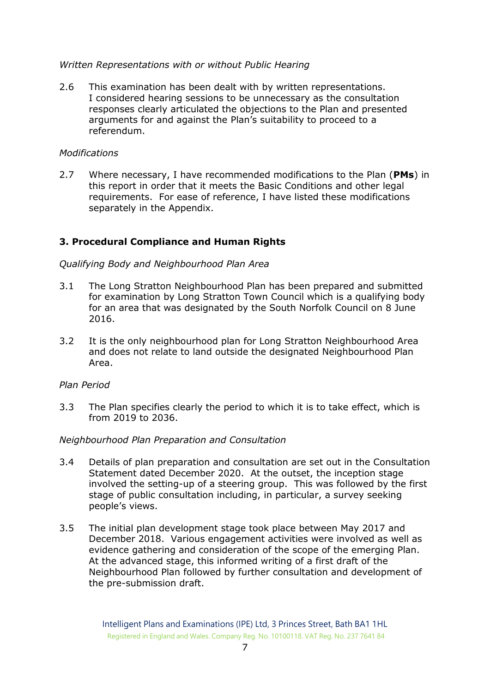#### *Written Representations with or without Public Hearing*

2.6 This examination has been dealt with by written representations. I considered hearing sessions to be unnecessary as the consultation responses clearly articulated the objections to the Plan and presented arguments for and against the Plan's suitability to proceed to a referendum.

#### *Modifications*

2.7 Where necessary, I have recommended modifications to the Plan (**PMs**) in this report in order that it meets the Basic Conditions and other legal requirements. For ease of reference, I have listed these modifications separately in the Appendix.

#### **3. Procedural Compliance and Human Rights**

#### *Qualifying Body and Neighbourhood Plan Area*

- 3.1 The Long Stratton Neighbourhood Plan has been prepared and submitted for examination by Long Stratton Town Council which is a qualifying body for an area that was designated by the South Norfolk Council on 8 June 2016.
- 3.2 It is the only neighbourhood plan for Long Stratton Neighbourhood Area and does not relate to land outside the designated Neighbourhood Plan Area.

#### *Plan Period*

3.3 The Plan specifies clearly the period to which it is to take effect, which is from 2019 to 2036.

#### *Neighbourhood Plan Preparation and Consultation*

- 3.4 Details of plan preparation and consultation are set out in the Consultation Statement dated December 2020. At the outset, the inception stage involved the setting-up of a steering group. This was followed by the first stage of public consultation including, in particular, a survey seeking people's views.
- 3.5 The initial plan development stage took place between May 2017 and December 2018. Various engagement activities were involved as well as evidence gathering and consideration of the scope of the emerging Plan. At the advanced stage, this informed writing of a first draft of the Neighbourhood Plan followed by further consultation and development of the pre-submission draft.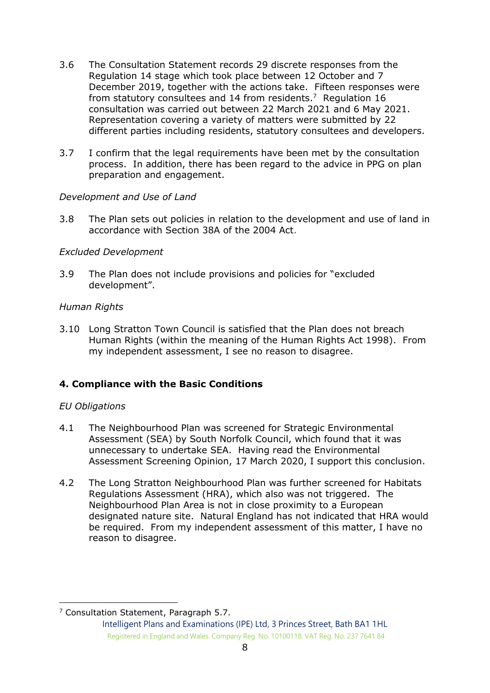- 3.6 The Consultation Statement records 29 discrete responses from the Regulation 14 stage which took place between 12 October and 7 December 2019, together with the actions take. Fifteen responses were from statutory consultees and 14 from residents.<sup>7</sup> Regulation 16 consultation was carried out between 22 March 2021 and 6 May 2021. Representation covering a variety of matters were submitted by 22 different parties including residents, statutory consultees and developers.
- 3.7 I confirm that the legal requirements have been met by the consultation process. In addition, there has been regard to the advice in PPG on plan preparation and engagement.

#### *Development and Use of Land*

3.8 The Plan sets out policies in relation to the development and use of land in accordance with Section 38A of the 2004 Act.

#### *Excluded Development*

3.9 The Plan does not include provisions and policies for "excluded development".

#### *Human Rights*

3.10 Long Stratton Town Council is satisfied that the Plan does not breach Human Rights (within the meaning of the Human Rights Act 1998). From my independent assessment, I see no reason to disagree.

#### **4. Compliance with the Basic Conditions**

#### *EU Obligations*

- 4.1 The Neighbourhood Plan was screened for Strategic Environmental Assessment (SEA) by South Norfolk Council, which found that it was unnecessary to undertake SEA. Having read the Environmental Assessment Screening Opinion, 17 March 2020, I support this conclusion.
- 4.2 The Long Stratton Neighbourhood Plan was further screened for Habitats Regulations Assessment (HRA), which also was not triggered. The Neighbourhood Plan Area is not in close proximity to a European designated nature site. Natural England has not indicated that HRA would be required. From my independent assessment of this matter, I have no reason to disagree.

<sup>-</sup><sup>7</sup> Consultation Statement, Paragraph 5.7.

Intelligent Plans and Examinations (IPE) Ltd, 3 Princes Street, Bath BA1 1HL Registered in England and Wales. Company Reg. No. 10100118. VAT Reg. No. 237 7641 84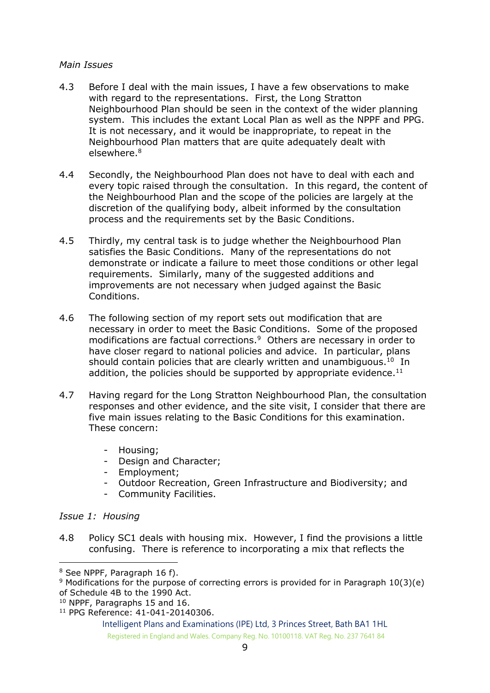#### *Main Issues*

- 4.3 Before I deal with the main issues, I have a few observations to make with regard to the representations. First, the Long Stratton Neighbourhood Plan should be seen in the context of the wider planning system. This includes the extant Local Plan as well as the NPPF and PPG. It is not necessary, and it would be inappropriate, to repeat in the Neighbourhood Plan matters that are quite adequately dealt with elsewhere.<sup>8</sup>
- 4.4 Secondly, the Neighbourhood Plan does not have to deal with each and every topic raised through the consultation. In this regard, the content of the Neighbourhood Plan and the scope of the policies are largely at the discretion of the qualifying body, albeit informed by the consultation process and the requirements set by the Basic Conditions.
- 4.5 Thirdly, my central task is to judge whether the Neighbourhood Plan satisfies the Basic Conditions. Many of the representations do not demonstrate or indicate a failure to meet those conditions or other legal requirements. Similarly, many of the suggested additions and improvements are not necessary when judged against the Basic Conditions.
- 4.6 The following section of my report sets out modification that are necessary in order to meet the Basic Conditions. Some of the proposed modifications are factual corrections.<sup>9</sup> Others are necessary in order to have closer regard to national policies and advice. In particular, plans should contain policies that are clearly written and unambiguous. $10$  In addition, the policies should be supported by appropriate evidence. $^{11}$
- 4.7 Having regard for the Long Stratton Neighbourhood Plan, the consultation responses and other evidence, and the site visit, I consider that there are five main issues relating to the Basic Conditions for this examination. These concern:
	- Housing;
	- Design and Character;
	- Employment;
	- Outdoor Recreation, Green Infrastructure and Biodiversity; and
	- Community Facilities.

#### *Issue 1: Housing*

-

4.8 Policy SC1 deals with housing mix. However, I find the provisions a little confusing. There is reference to incorporating a mix that reflects the

<sup>8</sup> See NPPF, Paragraph 16 f).

<sup>9</sup> Modifications for the purpose of correcting errors is provided for in Paragraph 10(3)(e) of Schedule 4B to the 1990 Act.

<sup>10</sup> NPPF, Paragraphs 15 and 16.

<sup>11</sup> PPG Reference: 41-041-20140306.

Intelligent Plans and Examinations (IPE) Ltd, 3 Princes Street, Bath BA1 1HL Registered in England and Wales. Company Reg. No. 10100118. VAT Reg. No. 237 7641 84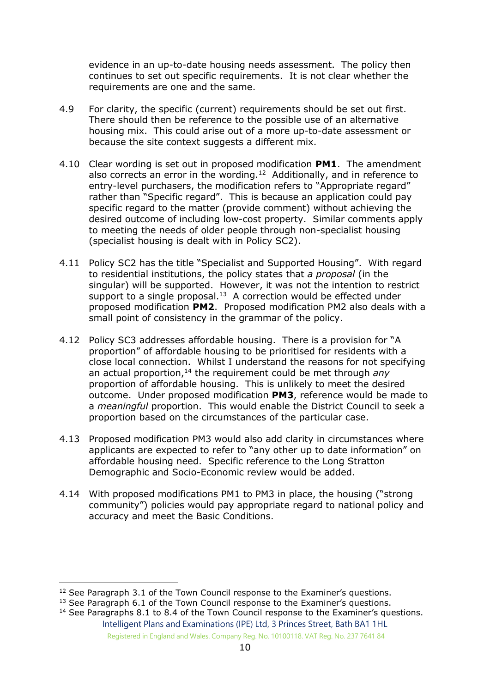evidence in an up-to-date housing needs assessment. The policy then continues to set out specific requirements. It is not clear whether the requirements are one and the same.

- 4.9 For clarity, the specific (current) requirements should be set out first. There should then be reference to the possible use of an alternative housing mix. This could arise out of a more up-to-date assessment or because the site context suggests a different mix.
- 4.10 Clear wording is set out in proposed modification **PM1**. The amendment also corrects an error in the wording.<sup>12</sup> Additionally, and in reference to entry-level purchasers, the modification refers to "Appropriate regard" rather than "Specific regard". This is because an application could pay specific regard to the matter (provide comment) without achieving the desired outcome of including low-cost property. Similar comments apply to meeting the needs of older people through non-specialist housing (specialist housing is dealt with in Policy SC2).
- 4.11 Policy SC2 has the title "Specialist and Supported Housing". With regard to residential institutions, the policy states that *a proposal* (in the singular) will be supported. However, it was not the intention to restrict support to a single proposal. $13$  A correction would be effected under proposed modification **PM2**. Proposed modification PM2 also deals with a small point of consistency in the grammar of the policy.
- 4.12 Policy SC3 addresses affordable housing. There is a provision for "A proportion" of affordable housing to be prioritised for residents with a close local connection. Whilst I understand the reasons for not specifying an actual proportion,<sup>14</sup> the requirement could be met through *any* proportion of affordable housing. This is unlikely to meet the desired outcome. Under proposed modification **PM3**, reference would be made to a *meaningful* proportion. This would enable the District Council to seek a proportion based on the circumstances of the particular case.
- 4.13 Proposed modification PM3 would also add clarity in circumstances where applicants are expected to refer to "any other up to date information" on affordable housing need. Specific reference to the Long Stratton Demographic and Socio-Economic review would be added.
- 4.14 With proposed modifications PM1 to PM3 in place, the housing ("strong community") policies would pay appropriate regard to national policy and accuracy and meet the Basic Conditions.

-

<sup>&</sup>lt;sup>12</sup> See Paragraph 3.1 of the Town Council response to the Examiner's questions.

<sup>&</sup>lt;sup>13</sup> See Paragraph 6.1 of the Town Council response to the Examiner's questions.

Intelligent Plans and Examinations (IPE) Ltd, 3 Princes Street, Bath BA1 1HL Registered in England and Wales. Company Reg. No. 10100118. VAT Reg. No. 237 7641 84  $14$  See Paragraphs 8.1 to 8.4 of the Town Council response to the Examiner's questions.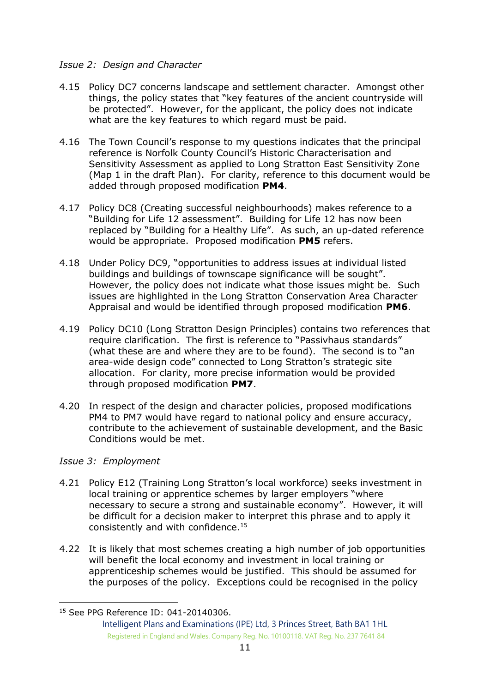#### *Issue 2: Design and Character*

- 4.15 Policy DC7 concerns landscape and settlement character. Amongst other things, the policy states that "key features of the ancient countryside will be protected". However, for the applicant, the policy does not indicate what are the key features to which regard must be paid.
- 4.16 The Town Council's response to my questions indicates that the principal reference is Norfolk County Council's Historic Characterisation and Sensitivity Assessment as applied to Long Stratton East Sensitivity Zone (Map 1 in the draft Plan). For clarity, reference to this document would be added through proposed modification **PM4**.
- 4.17 Policy DC8 (Creating successful neighbourhoods) makes reference to a "Building for Life 12 assessment". Building for Life 12 has now been replaced by "Building for a Healthy Life". As such, an up-dated reference would be appropriate. Proposed modification **PM5** refers.
- 4.18 Under Policy DC9, "opportunities to address issues at individual listed buildings and buildings of townscape significance will be sought". However, the policy does not indicate what those issues might be. Such issues are highlighted in the Long Stratton Conservation Area Character Appraisal and would be identified through proposed modification **PM6**.
- 4.19 Policy DC10 (Long Stratton Design Principles) contains two references that require clarification. The first is reference to "Passivhaus standards" (what these are and where they are to be found). The second is to "an area-wide design code" connected to Long Stratton's strategic site allocation. For clarity, more precise information would be provided through proposed modification **PM7**.
- 4.20 In respect of the design and character policies, proposed modifications PM4 to PM7 would have regard to national policy and ensure accuracy, contribute to the achievement of sustainable development, and the Basic Conditions would be met.

#### *Issue 3: Employment*

-

- 4.21 Policy E12 (Training Long Stratton's local workforce) seeks investment in local training or apprentice schemes by larger employers "where necessary to secure a strong and sustainable economy". However, it will be difficult for a decision maker to interpret this phrase and to apply it consistently and with confidence.<sup>15</sup>
- 4.22 It is likely that most schemes creating a high number of job opportunities will benefit the local economy and investment in local training or apprenticeship schemes would be justified. This should be assumed for the purposes of the policy. Exceptions could be recognised in the policy

<sup>15</sup> See PPG Reference ID: 041-20140306.

Intelligent Plans and Examinations (IPE) Ltd, 3 Princes Street, Bath BA1 1HL Registered in England and Wales. Company Reg. No. 10100118. VAT Reg. No. 237 7641 84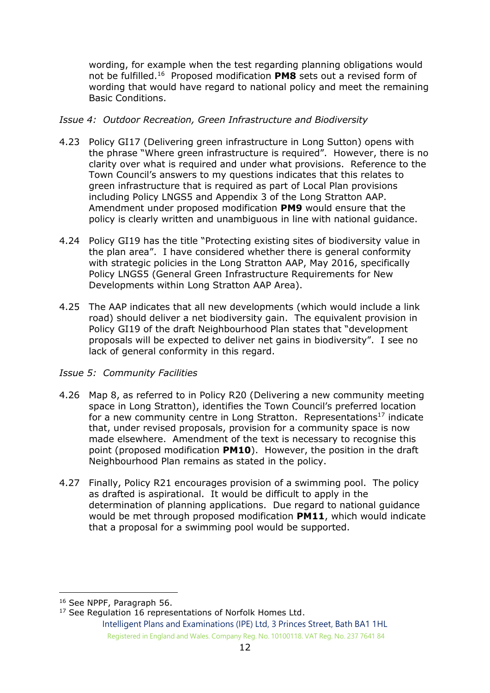wording, for example when the test regarding planning obligations would not be fulfilled. <sup>16</sup> Proposed modification **PM8** sets out a revised form of wording that would have regard to national policy and meet the remaining Basic Conditions.

#### *Issue 4: Outdoor Recreation, Green Infrastructure and Biodiversity*

- 4.23 Policy GI17 (Delivering green infrastructure in Long Sutton) opens with the phrase "Where green infrastructure is required". However, there is no clarity over what is required and under what provisions. Reference to the Town Council's answers to my questions indicates that this relates to green infrastructure that is required as part of Local Plan provisions including Policy LNGS5 and Appendix 3 of the Long Stratton AAP. Amendment under proposed modification **PM9** would ensure that the policy is clearly written and unambiguous in line with national guidance.
- 4.24 Policy GI19 has the title "Protecting existing sites of biodiversity value in the plan area". I have considered whether there is general conformity with strategic policies in the Long Stratton AAP, May 2016, specifically Policy LNGS5 (General Green Infrastructure Requirements for New Developments within Long Stratton AAP Area).
- 4.25 The AAP indicates that all new developments (which would include a link road) should deliver a net biodiversity gain. The equivalent provision in Policy GI19 of the draft Neighbourhood Plan states that "development proposals will be expected to deliver net gains in biodiversity". I see no lack of general conformity in this regard.

#### *Issue 5: Community Facilities*

- 4.26 Map 8, as referred to in Policy R20 (Delivering a new community meeting space in Long Stratton), identifies the Town Council's preferred location for a new community centre in Long Stratton. Representations<sup>17</sup> indicate that, under revised proposals, provision for a community space is now made elsewhere. Amendment of the text is necessary to recognise this point (proposed modification **PM10**). However, the position in the draft Neighbourhood Plan remains as stated in the policy.
- 4.27 Finally, Policy R21 encourages provision of a swimming pool. The policy as drafted is aspirational. It would be difficult to apply in the determination of planning applications. Due regard to national guidance would be met through proposed modification **PM11**, which would indicate that a proposal for a swimming pool would be supported.

<sup>-</sup><sup>16</sup> See NPPF, Paragraph 56.

<sup>&</sup>lt;sup>17</sup> See Regulation 16 representations of Norfolk Homes Ltd.

Intelligent Plans and Examinations (IPE) Ltd, 3 Princes Street, Bath BA1 1HL Registered in England and Wales. Company Reg. No. 10100118. VAT Reg. No. 237 7641 84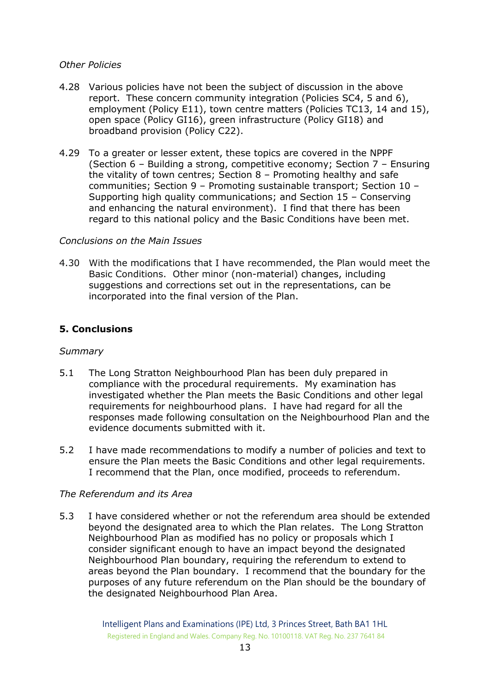#### *Other Policies*

- 4.28 Various policies have not been the subject of discussion in the above report. These concern community integration (Policies SC4, 5 and 6), employment (Policy E11), town centre matters (Policies TC13, 14 and 15), open space (Policy GI16), green infrastructure (Policy GI18) and broadband provision (Policy C22).
- 4.29 To a greater or lesser extent, these topics are covered in the NPPF (Section 6 – Building a strong, competitive economy; Section 7 – Ensuring the vitality of town centres; Section 8 – Promoting healthy and safe communities; Section 9 – Promoting sustainable transport; Section 10 – Supporting high quality communications; and Section 15 – Conserving and enhancing the natural environment). I find that there has been regard to this national policy and the Basic Conditions have been met.

# *Conclusions on the Main Issues*

4.30 With the modifications that I have recommended, the Plan would meet the Basic Conditions. Other minor (non-material) changes, including suggestions and corrections set out in the representations, can be incorporated into the final version of the Plan.

# **5. Conclusions**

#### *Summary*

- 5.1 The Long Stratton Neighbourhood Plan has been duly prepared in compliance with the procedural requirements. My examination has investigated whether the Plan meets the Basic Conditions and other legal requirements for neighbourhood plans. I have had regard for all the responses made following consultation on the Neighbourhood Plan and the evidence documents submitted with it.
- 5.2 I have made recommendations to modify a number of policies and text to ensure the Plan meets the Basic Conditions and other legal requirements. I recommend that the Plan, once modified, proceeds to referendum.

#### *The Referendum and its Area*

5.3 I have considered whether or not the referendum area should be extended beyond the designated area to which the Plan relates. The Long Stratton Neighbourhood Plan as modified has no policy or proposals which I consider significant enough to have an impact beyond the designated Neighbourhood Plan boundary, requiring the referendum to extend to areas beyond the Plan boundary. I recommend that the boundary for the purposes of any future referendum on the Plan should be the boundary of the designated Neighbourhood Plan Area.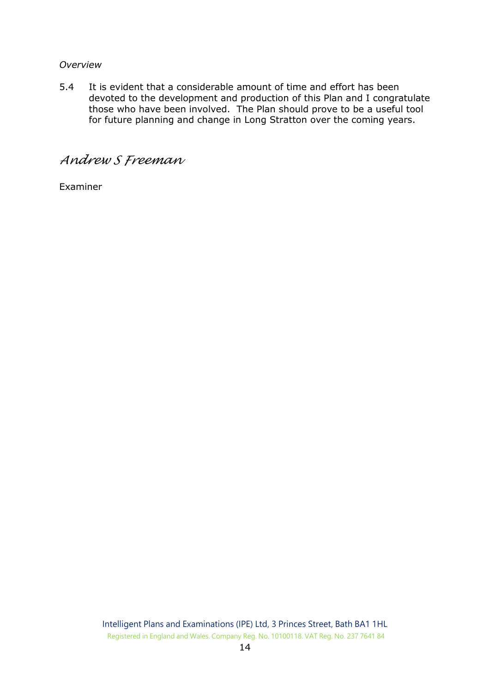#### *Overview*

5.4 It is evident that a considerable amount of time and effort has been devoted to the development and production of this Plan and I congratulate those who have been involved. The Plan should prove to be a useful tool for future planning and change in Long Stratton over the coming years.

# *Andrew S Freeman*

Examiner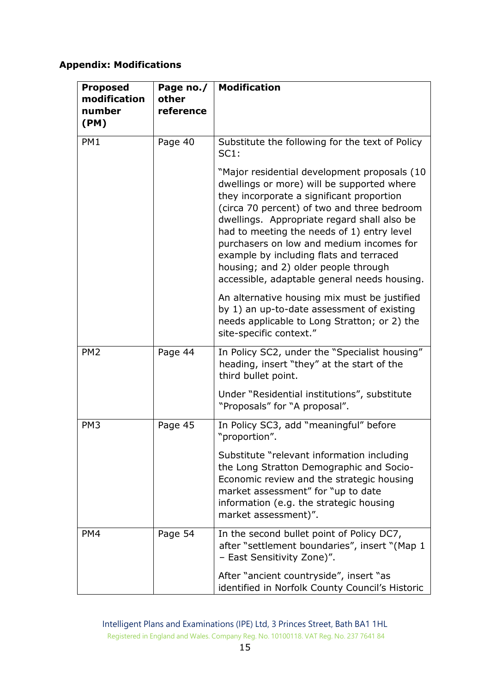# **Appendix: Modifications**

| <b>Proposed</b><br>modification<br>number<br>(PM) | Page no./<br>other<br>reference | <b>Modification</b>                                                                                                                                                                                                                                                                                                                                                                                                                                                |
|---------------------------------------------------|---------------------------------|--------------------------------------------------------------------------------------------------------------------------------------------------------------------------------------------------------------------------------------------------------------------------------------------------------------------------------------------------------------------------------------------------------------------------------------------------------------------|
| PM1                                               | Page 40                         | Substitute the following for the text of Policy<br>SC1:                                                                                                                                                                                                                                                                                                                                                                                                            |
|                                                   |                                 | "Major residential development proposals (10<br>dwellings or more) will be supported where<br>they incorporate a significant proportion<br>(circa 70 percent) of two and three bedroom<br>dwellings. Appropriate regard shall also be<br>had to meeting the needs of 1) entry level<br>purchasers on low and medium incomes for<br>example by including flats and terraced<br>housing; and 2) older people through<br>accessible, adaptable general needs housing. |
|                                                   |                                 | An alternative housing mix must be justified<br>by 1) an up-to-date assessment of existing<br>needs applicable to Long Stratton; or 2) the<br>site-specific context."                                                                                                                                                                                                                                                                                              |
| PM <sub>2</sub>                                   | Page 44                         | In Policy SC2, under the "Specialist housing"<br>heading, insert "they" at the start of the<br>third bullet point.                                                                                                                                                                                                                                                                                                                                                 |
|                                                   |                                 | Under "Residential institutions", substitute<br>"Proposals" for "A proposal".                                                                                                                                                                                                                                                                                                                                                                                      |
| PM <sub>3</sub>                                   | Page 45                         | In Policy SC3, add "meaningful" before<br>"proportion".                                                                                                                                                                                                                                                                                                                                                                                                            |
|                                                   |                                 | Substitute "relevant information including<br>the Long Stratton Demographic and Socio-<br>Economic review and the strategic housing<br>market assessment" for "up to date<br>information (e.g. the strategic housing<br>market assessment)".                                                                                                                                                                                                                       |
| PM4                                               | Page 54                         | In the second bullet point of Policy DC7,<br>after "settlement boundaries", insert "(Map 1<br>- East Sensitivity Zone)".                                                                                                                                                                                                                                                                                                                                           |
|                                                   |                                 | After "ancient countryside", insert "as<br>identified in Norfolk County Council's Historic                                                                                                                                                                                                                                                                                                                                                                         |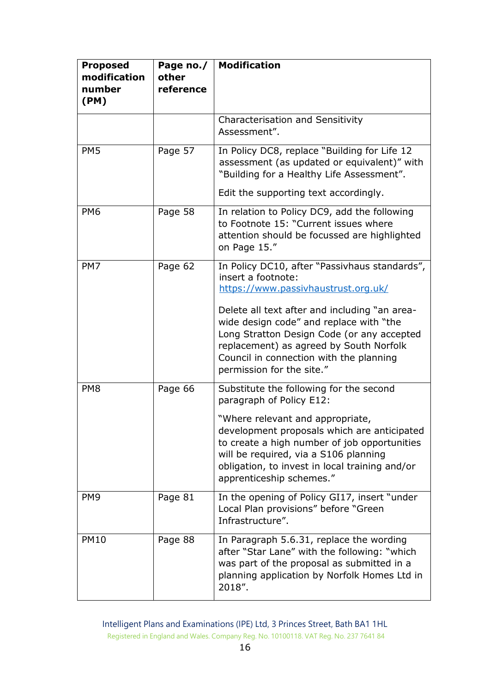| <b>Proposed</b><br>modification<br>number<br>(PM) | Page no./<br>other<br>reference | <b>Modification</b>                                                                                                                                                                                                                                       |
|---------------------------------------------------|---------------------------------|-----------------------------------------------------------------------------------------------------------------------------------------------------------------------------------------------------------------------------------------------------------|
|                                                   |                                 | Characterisation and Sensitivity<br>Assessment".                                                                                                                                                                                                          |
| PM <sub>5</sub>                                   | Page 57                         | In Policy DC8, replace "Building for Life 12<br>assessment (as updated or equivalent)" with<br>"Building for a Healthy Life Assessment".<br>Edit the supporting text accordingly.                                                                         |
|                                                   |                                 |                                                                                                                                                                                                                                                           |
| PM <sub>6</sub>                                   | Page 58                         | In relation to Policy DC9, add the following<br>to Footnote 15: "Current issues where<br>attention should be focussed are highlighted<br>on Page 15."                                                                                                     |
| PM7                                               | Page 62                         | In Policy DC10, after "Passivhaus standards",<br>insert a footnote:<br>https://www.passivhaustrust.org.uk/                                                                                                                                                |
|                                                   |                                 | Delete all text after and including "an area-<br>wide design code" and replace with "the<br>Long Stratton Design Code (or any accepted<br>replacement) as agreed by South Norfolk<br>Council in connection with the planning<br>permission for the site." |
| PM <sub>8</sub>                                   | Page 66                         | Substitute the following for the second<br>paragraph of Policy E12:                                                                                                                                                                                       |
|                                                   |                                 | "Where relevant and appropriate,<br>development proposals which are anticipated<br>to create a high number of job opportunities<br>will be required, via a S106 planning<br>obligation, to invest in local training and/or<br>apprenticeship schemes."    |
| PM <sub>9</sub>                                   | Page 81                         | In the opening of Policy GI17, insert "under<br>Local Plan provisions" before "Green<br>Infrastructure".                                                                                                                                                  |
| <b>PM10</b>                                       | Page 88                         | In Paragraph 5.6.31, replace the wording<br>after "Star Lane" with the following: "which<br>was part of the proposal as submitted in a<br>planning application by Norfolk Homes Ltd in<br>2018".                                                          |